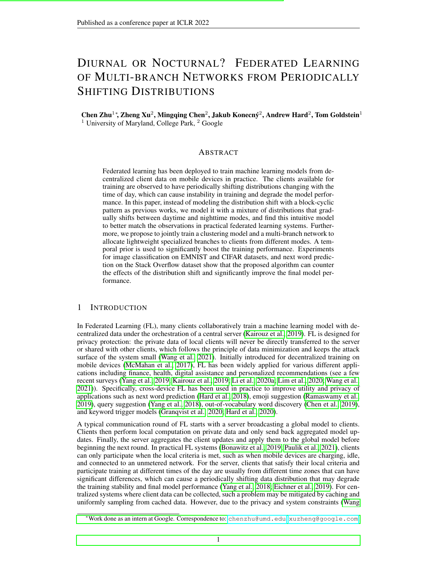# DIURNAL OR NOCTURNAL? FEDERATED LEARNING OF MULTI-BRANCH NETWORKS FROM PERIODICALLY SHIFTING DISTRIBUTIONS

# Chen Zhu<sup>1</sup>\*, Zheng Xu<sup>2</sup>, Mingqing Chen<sup>2</sup>, Jakub Konecný<sup>2</sup>, Andrew Hard<sup>2</sup>, Tom Goldstein<sup>1</sup> <sup>1</sup> University of Maryland, College Park,  $2^2$  Google

# ABSTRACT

Federated learning has been deployed to train machine learning models from decentralized client data on mobile devices in practice. The clients available for training are observed to have periodically shifting distributions changing with the time of day, which can cause instability in training and degrade the model performance. In this paper, instead of modeling the distribution shift with a block-cyclic pattern as previous works, we model it with a mixture of distributions that gradually shifts between daytime and nighttime modes, and find this intuitive model to better match the observations in practical federated learning systems. Furthermore, we propose to jointly train a clustering model and a multi-branch network to allocate lightweight specialized branches to clients from different modes. A temporal prior is used to significantly boost the training performance. Experiments for image classification on EMNIST and CIFAR datasets, and next word prediction on the Stack Overflow dataset show that the proposed algorithm can counter the effects of the distribution shift and significantly improve the final model performance.

# 1 INTRODUCTION

In Federated Learning (FL), many clients collaboratively train a machine learning model with decentralized data under the orchestration of a central server (Kairouz et al., 2019). FL is designed for privacy protection: the private data of local clients will never be directly transferred to the server or shared with other clients, which follows the principle of data minimization and keeps the attack surface of the system small (Wang et al., 2021). Initially introduced for decentralized training on mobile devices (McMahan et al., 2017), FL has been widely applied for various different applications including finance, health, digital assistance and personalized recommendations (see a few recent surveys (Yang et al., 2019; Kairouz et al., 2019; Li et al., 2020a; Lim et al., 2020; Wang et al., 2021)). Specifically, cross-device FL has been used in practice to improve utility and privacy of applications such as next word prediction (Hard et al., 2018), emoji suggestion (Ramaswamy et al., 2019), query suggestion (Yang et al., 2018), out-of-vocabulary word discovery (Chen et al., 2019), and keyword trigger models (Granqvist et al., 2020; Hard et al., 2020).

A typical communication round of FL starts with a server broadcasting a global model to clients. Clients then perform local computation on private data and only send back aggregated model updates. Finally, the server aggregates the client updates and apply them to the global model before beginning the next round. In practical FL systems (Bonawitz et al., 2019; Paulik et al., 2021), clients can only participate when the local criteria is met, such as when mobile devices are charging, idle, and connected to an unmetered network. For the server, clients that satisfy their local criteria and participate training at different times of the day are usually from different time zones that can have significant differences, which can cause a periodically shifting data distribution that may degrade the training stability and final model performance (Yang et al., 2018; Eichner et al., 2019). For centralized systems where client data can be collected, such a problem may be mitigated by caching and uniformly sampling from cached data. However, due to the privacy and system constraints (Wang

<sup>∗</sup>Work done as an intern at Google. Correspondence to: [chenzhu@umd.edu](mailto:chenzhu@umd.edu), [xuzheng@google.com](mailto:xuzheng@google.com).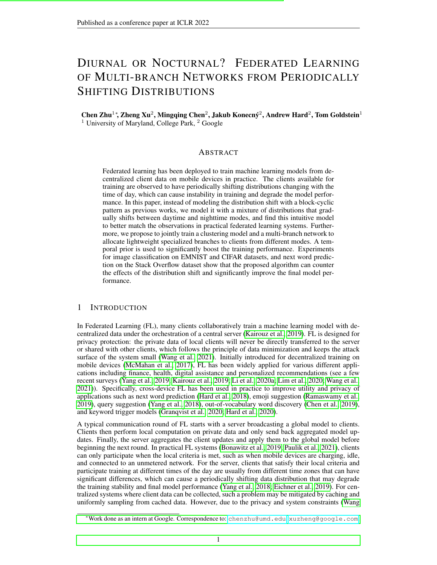et al., 2021), the orchestrator (server) in FL systems is not allowed to collect the raw user data, and must deal with such non-IID, heterogeneous data distribution.

To our knowledge, there are only a few previous works (Eichner et al., 2019; Ding et al., 2020) discussing periodical distribution shift of client population in federated learning. These works assume a block-cyclic structure where daytime clients and nighttime clients alternately participate in training. Eichner et al. (2019) proposed the semi-cyclic SGD approach, where clients participating training at different time slots will contribute to and only use the corresponding model of the group. By learning separate models for different blocks, they can obtain the same guarantee as the i.i.d. non-cyclic setting under their assumptions. However, there are several caveats of semi-cyclic SGD that makes it difficult to apply in practice: (1) It assigns models to clients based on their participation time, but not all clients will participate in federated learning, hence it is hard to decide the correct group for these clients. (2) It maintains a version of the full model for each clients group, which potentially increases the communication cost or privacy risk. (3) The assumption of the abrupt switch from the daytime group to the nighttime group at a specific time of a day is unintuitive in practice. (Ding et al., 2020) is a variant of semi-cyclic SGD that inherits these issues. We provide discussions of more related works such as heterogeneity, clustering, and multi-branch networks in Appendix A.7.

In this paper, we study periodical distribution shift of clients, and make the following contributions:

- 1. We revisit the periodical distribution shift. Instead of adopting the block-cyclic structure (Eichner et al., 2019), we assume a smooth transition between the daytime mode and nighttime mode, and empirically verify through simulation that its impact on training better matches the observation in practical FL systems.
- 2. We propose to jointly train a multi-branch network and a clustering model to select the branch that better fits the client's distribution based on the feature representations. The lightweight branches for the day and night modes only slightly increase the communication cost, but significantly improve the model performance. Unlike (Mansour et al., 2020; Ghosh et al., 2020; Marfoq et al., 2021), the feature-based clustering model does not rely on labelled data, and can be easily applied for inference on new clients.
- 3. We propose to use the temporal prior of the client distribution to enhance the clustering models. We assume participating clients per communication round is a mixture of daytime and nighttime clients, and the number of participating clients from the daytime group will gradually increase as time goes from nighttime to daytime, and vice versa. By exploiting this prior, we can train models that are even more accurate than models trained with uniformly sampled clients in a conventional federated simulation.
- 4. We provide simulations of the distribution shift on three benchmark datasets (EMNIST, CIFAR and Stack Overflow) to evaluate the empirical performance of FL algorithms under the periodic distribution shift with smooth transition. We perform extensive experiments, where the multibranch networks trained by our method outperform the distribution-oblivious baselines by a large margin: 3-5% on EMNIST, 2-14% on CIFAR, and 0.4-1.35% on the challenging Stack Overflow dataset under various degrees of distribution shifts. By leveraging the temporal priors, the proposed method can take advantage of the periodic distribution shift and beat the strong baselines of training with uniformly sampled clients by 4%, 4% and 0.45%, respectively.

# <span id="page-1-0"></span>2 MODELING PERIODICAL DISTRIBUTION SHIFT

FL setting. We consider federated learning algorithms for a set of clients  $\ell$ , where the  $\ell$ -th client has data  $D_i$  sampled IID (independent and identically distributed) from its own distribution, but the distribution of different clients can be heterogeneous. We minimize the expected loss on all clients,

minimize 
$$
L(w) = \sum_{i \in \mathcal{I}} p_i L_i(w)
$$
; where  $L_i(w) = \frac{1}{jD_i j} \sum_{\substack{p \in \mathcal{D}_i}}^{\times} (w_i)$ ; and  $\sum_{i \in \mathcal{I}} p_i = 1$ ; (1)

where  $p_i$  is the weight (probability) of elient *i*, and  $= (x, y)$  is a training sample pair of data and label on a client. By setting  $p_i = jD_i j = j\epsilon_j j$ , the federated training loss recovers the empirical risk minimization (ERM) objective on all client samples. For simplicity, we abuse notation and use  $x \nightharpoonup D_i$  to denote a training sample (without label) for client *i*.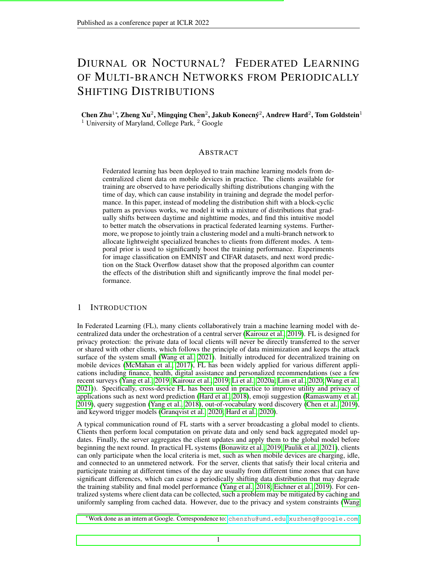

<span id="page-2-0"></span>Figure 1: Training accuracy of language models. (Left): on-device training in a practical FL system. (Middle): simulation of the smooth distribution shift with  $q_{L/1}(t)$  on Stack Overflow ( $T = 256$ ). In the beginning of each period, the probability of clients coming from nighttime mode is 1, which linearly decreases to 0 at the middle of each period so that all clients are from daytime mode, corresponding to the peaks and valleys of the curves respectively. (Right): simulation of the block-cyclic shift on Stack Overflow ( $\bar{T} = 256$ ).

Periodic distribution shift. A subset of clients /'  $I(t)$  are available for training in a communication round t.  $\ell(t)$  periodically changes with most of the clients from a daytime (nighttime) client group in midday (midnight). Figure [1](#page-2-0) (left) shows that the training loss in a cross-device FL system has daily oscillation. Such oscillations was also observed by Yang et al. (2018), who conjecture it is due to the domain differences between clients from different time zones. Eichner et al. (2019) study the block-cyclic structure, where the model is trained for  $\bar{T}$  rounds each day, and the clients are from the day mode and night mode alternately, each last continuously for  $T=2$  rounds. We plot the training curves of block-cyclic structure in Figure [1](#page-2-0) (right), and observe it is different from the (left) curves from a practical FL systems.

**Smooth transition.** We also assume the distribution changes periodically with a period of  $T$ . Unlike (Eichner et al., 2019), we assume clients at round  $t$  are a mixture of daytime clients and nighttime clients, denoted as  $I_1(t)$  and  $I_2(t)$ , respectively. Intuitively, since the available population is usually large around the clock, the population distribution of available clients should shift gradually, rather than abruptly from one mode to another as in the block-cyclic structure. To better approximate the behavior in practice, we assume that in each period, clients come from the day mode  $I_1(t)$  with a probability  $q(t)$  that varies *smoothly* between 0 and 1. Specifically, we simulate  $I_1(t)$  and  $I_2(t)$ with two disjoint sets of clients with different data distributions, and define  $q : \mathbb{R}^+$  [0;1] to be a periodic function with a period of  $T$ . At each round  $t$ , we sample the clients from the following distribution

$$
P(i \; 2 \; 1_1(t)) = q(t); \; P(i \; 2 \; 1_2(t)) = 1 \quad q(t).
$$
 (2)

We consider a periodic *Linear* function (L) and a smooth *Cosine* function (C) for  $q(t)$ , each further parameterized by an exponent factor  $p > 0$  to control smoothness of the transition,

$$
q_{L;p}(t) = 2\frac{t \mod T}{T} \quad 1 \quad {}^{p}; q_{C;p}(t) = \frac{1}{2}(\cos(2 \ t = T) + 1) \quad {}^{p}; \tag{3}
$$

We visualize the transition probability  $q(t)$  in Figure 7 of the appendix. When  $p < 1$ , more daytime clients are available in T rounds, and when  $p > 1$ , more nighttime clients are available. This can simulate the difference in the number of completed training rounds during daytime and nighttime observed in practice (Yang et al., 2018).

**Observation and insight.** Figure [1](#page-2-0) (middle) simulates the training curve with  $q_{l-1}(t)$  to control the probability for sampling from  $I_1(t)$ , which more accurately approximates the curves from a practical FL system. The three curves show that training a single model around the clock achieves the best performance on both modes despite the domain differences, which motivates us to train a model with a large amount of shared weights. Semi-cyclic SGD (Eichner et al., 2019) provides the worst-case guarantees when the domains of each block are unrelated, and argues that training a single model on both modes is not optimal, which is different from our observations. Another important observation is that the training accuracy reaches its minima (maxima) when the client population is most biased towards the day mode or night mode, e.g., round 1024 and 1152 in the middle figure, from which we can infer the peak moment of daytime clients and nighttime clients in practice and use it to define a strong prior to improve the learning process.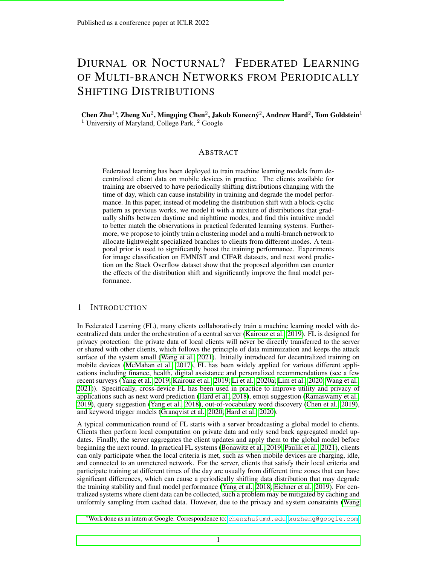# 3 LEARNING FROM PERIODICAL DISTRIBUTION SHIFT

We consider applications in which clients collaboratively train a model with a common input and output space, and the distribution of clients changes with time. We propose to jointly train a multibranch network and a clustering model to assign specialized branches for prediction on clients from different modes, guided by the temporal prior of the client distributions. We consider two methods for enforcing the temporal prior: FEDTEM (Section [3.1\)](#page-3-0), which is based on a Gaussian Mixture Model (GMM), and FEDTKM ( Section 3.2), which is based on K-means clustering.

Multi-branch network. Eichner et al. (2019) showed the merits of training separate models for different data distributions when the distributions can be identified during evaluation. However, training a single model with shared feature extraction layers on all available data can usually improve the data efficiency of representation learning. For example, for vision tasks, it helps to learn to extract common low-level features, while for language tasks it helps to learn shared embeddings and grammars from the context. To handle the distribution shift while learning shared feature representations and alleviating the communication overhead, we adopt the weight-sharing strategy from multi-task learning (Caruana, 1997) to train a multi-branch network with shared feature extraction layers  $f(w_f; x)$  followed by one of the specialized prediction branches  $g_k(w_k; f(w_f; x))$  for clients from each cluster  $k(1 \ k \ K)$ . We set each prediction branch  $g_k$  to be a single linear layer, which is more communication efficient and data efficient than having  $K$  versions of the same model.

**Temporal prior.** The temporal prior  $q(t)$  is an estimate for the ratio of clients coming from the daytime cluster,  $q(t)$ . From the observations in Section [2,](#page-1-0) we can locate the time when  $q(t)$  is most likely to be 0 or 1 by observing when the minima and maxima occur from the training curve. In between these minima and maxima, we consider three types of  $q(t)$  in our current experiments: 1) Linear:  $q(t) = q_{L,1}(t)$ ; 2) Cosine:  $q(t) = q_{C,1}(t)$ ; 3) Soft: see Appendix A.3.

Training Objective. *Our model assumes clients are from either the daytime or the nighttime cluster*  $(K = 2)$ , so it has two branches, and each branch is used for one group of clients. Let  $k_i^*$  be the branch index of client *i* chosen by the clustering model, and  $k_i^*$  be the index of the other branch. Each client trains the network with the following objective

<span id="page-3-1"></span>
$$
\underset{W}{\text{minimize}} \ L_i(\mathbf{w}) = \frac{1}{jD_{ij}} \sum_{\in \mathcal{D}_i} c_{\mathcal{E}}(g_{k_i}(\mathbf{w}; \mathbf{x}); \mathbf{y}) + c_{\mathcal{E}}(g_{k_i}(\mathbf{w}; \mathbf{x}); \mathbf{S}(\cdot; \mathbf{y})). \tag{4}
$$

where  $s( ; y) = \frac{1}{n} + (1)$  y is the label smoothing function for one-hot vector y,  $2[0, 1]$  determines the amount of label smoothing, and  $\geq 0$  is the regularization strength. The label smoothing regularization updates the other branch jointly with the feature extractor to prevent staleness, while encouraging the two branches to specialize in different feature subspaces: branch  $k_i^*$  is trained to become less certain on features of samples from cluster  $k_i^*$ .

#### <span id="page-3-0"></span>3.1 LEARNING A GAUSSIAN MIXTURE MODEL WITH PER-CLIENT TEMPORAL STATISTICS

We propose Federated Expectation-Maximization with Temporal prior (FEDTEM) to learn a Gaussian Mixture Model (GMM) to infer the cluster a client is from, and select the corresponding branch in the multi-branch network. We define discrete latent variables  $\bar{z}$  and to represent which cluster a sample and a client is from, respectively. FEDTEM assumes samples on the same client are from the same cluster, so the GMM prior  $P( = k) = P(z = k)$  for any k. We define  $P(x|z = k)$  as a Gaussian distribution  $N(f(w; x))_{k}$  k) in the feature space. For efficiency, we assume and learn a diagonal covariance  $\kappa$  for the Gaussian models. Algorithm [1](#page-4-0) summarizes the training process, and the details of each step are provided in the following sections.

#### <span id="page-3-2"></span>3.1.1 MODELING THE CLIENT DISTRIBUTIONS AND SELECTING BRANCHES FOR TRAINING

The prior  $P(\cdot)$  of the client distribution are constantly changing due to the periodic distribution shift. To stay up-to-date, the  $i$ -th client estimates its probability of coming from the  $k$ -th cluster based on its data  $D_i$  before the local update steps during training. Specifically, given the GMM parameters, since  $P(\ ) = P(z)$ , the local maximum likelihood estimation (MLE) of  $P(\ )$  on each new client *i* is equal to the MLE of  $p(z)$  on client *i*. Let  $\underset{i}{*}$  be the MLE of  $P(z)$  on client *i*, where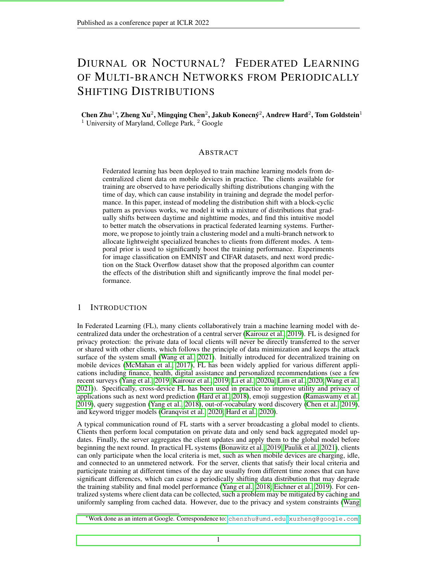the k-th dimension of  $\dot{i}$ , denoted as  $\dot{i}$ <sub>k</sub>, is the MLE of  $P(z = k)$  on client *i*. Then

<span id="page-4-1"></span>
$$
P(j = k) = \frac{1}{ik} = \frac{1}{jD_{ij}} \sum_{x \in D_i} P(z = k \mid \mathbf{x}) = \frac{1}{jD_{ij}} \sum_{x \in D_i} \frac{k \mathcal{N}(f(\mathbf{w}; \mathbf{x})j \mid k \mid k)}{j = 1} \cdot j \cdot \frac{1}{j} \cdot j \cdot (5)
$$

For completeness, we give the derivation of Eq. [5](#page-4-1) in Appendix A.1, where we also compare with the empirical results of using the posterior  $P(\overrightarrow{D_i})$  instead of the MLE  $\overrightarrow{i}$  for branch selection.

We select the branch based on the MLE of  $P(\cdot_i)$  and train the network by optimizing Eq. [4.](#page-3-1) We can either greedily select the branch  $k_i^* = \arg \max_k i$ , or sample from the discrete distribution  $i$ . We show the greedy approach achieves better empirical results in Figure 6, and use it by default.

Algorithm 1 FEDTEM: Federated EM with Temporal Prior (Training)

<span id="page-4-0"></span>1: Input: A stream of clients  $/(t)$  with periodical distribution shift; Number of communication rounds N; Number of rounds per day T.

2: **Output:** Network parameters  $w^N = (w_f^N, w_1^N, w_2^N)$ , GMM parameters  $N = (N, N, N)$ .

3: for  $t = 0$  to  $N = 1$  do

4: A set of m clients  $\frac{1}{t}$   $\frac{1}{t}$   $\frac{1}{t}$  participates training;

5: Server broadcasts parameters of the network  $\boldsymbol{w}^t$  and the GMM  $\tau$  to  $I'(t)$ ;

- 6: for clients  $i \, 2 \, 1'(\tilde{t})$  in parallel do
- 7: Estimate  $\gamma_i$  on  $D_i$ , and choose the branch  $k_i^* = \arg \max_k \gamma_i$  $i_k$ ; see Eq. [5](#page-4-1)
- 8: Given  $k_i^*$ , run local updates for the network by optimizing Eq. [4](#page-3-1) and get  $\mathbf{w}_i^{t+1}$ ;
- 9: On  $D_i$ , compute the MLE  $\sim_i^*$  and all feasible Gaussian parameters  $(\sim_i^{t+1}, \sim_i^{t+1})$ ); . see Eq.9 10: Server aggregates the model update  $p_i(\mathbf{w}_i^{t+1} \mathbf{w}^t)$
- 11: Update network parameters to  $w^{t+1}$  with the prescribed server optimizer.
- 12: Server collects GMM params  $f^{-*}$ ;  $\frac{t+1}{i}$ ;  $\frac{t+1}{i}$ ;  $\frac{t+1}{i}$ ]  $i \ge 1'(t)g$ ;
- 

13: Update the GMM parameters to 
$$
\begin{pmatrix} t+1 & t+1 \\ t+1 & t+1 \end{pmatrix}
$$
 with the temporal prior on  $\frac{1}{l}$ ; see Eq. 10

#### 3.1.2 UPDATING THE MIXTURE MODEL PARAMETERS

We introduce a federated Expectation-Maximization (EM) (Dempster et al., 1977) enhanced by the temporal prior to update the parameters of the GMM. The temporal prior is enforced via a bottomup approach: we start by running EM on each client  $i$  and send all possible locally optimal GMM parameters to the server, and then select and aggregate the GMM parameters with the temporal prior on the server. We find the optimal GMM parameters after the local update steps as described in Section [3.1.1,](#page-3-2) so that the GMM is updated in the feature space of the updated network. We give details of the process in the following.

**E** step. For each client  $i \geq l(t)$ , evaluate the posterior  $i_k(x)$  for each sample x to infer the probability of **x** coming from cluster k, based on the locally updated network with parameters  $w_i^{t+1}$ 

$$
i_{ik}(\mathbf{x}) = P(z = k/\mathbf{x}) = \frac{\frac{t}{k}N\left(\frac{f(\mathbf{w}_i^{t+1} \cdot \mathbf{x})}{k} \cdot \frac{t}{k} \cdot \frac{t}{k}\right)}{\frac{t}{j}N\left(\frac{f(\mathbf{w}_i^{t+1} \cdot \mathbf{x})}{k} \cdot \frac{t}{j} \cdot \frac{t}{j}\right)}.
$$
(6)

M step on clients. To learn a GMM that better distinguishes the daytime and nighttime clusters, we incorporate the temporal prior  $q(t)$  into the M step by considering the posterior  $P($  =  $kjD_i$ ;  $t_j \neq (t)$ , where  $t = \begin{pmatrix} t_j & t_j & t_j \\ t_j & t_j & t_j \end{pmatrix}$  is the collection of all GMM parameters. The M step optimizes the following objective

$$
\begin{array}{ccc}\n\mathsf{maximize} & \mathsf{X} & \mathsf{X} \\
\mathsf{maximize} & P( & = kjD_i; \quad ^t; \mathsf{q}(t) \log P(D_i; \quad = kj \quad ; \mathsf{q}(t))\n\end{array} \tag{7}
$$

Since the clients cannot share their data with the server, we first find locally optimal parameters  $\zeta_i^{t+1}$  = argmax  $\zeta_{k=1}^K P(\zeta = k/D_i; t; q(t))$  log  $P(D_i; \zeta = k)$ ;  $q(t)$  on each client i, and then average on the server. However, it is hard to evaluate the posterior  $P( = k/D_i; t, q(t))$  locally without additional communication rounds, since  $q(t)$  is an estimate of the ratio of clients from one cluster, and the posterior for one client depends on the estimates of other clients. A viable approach is to assume the posterior to be one-hot, i.e., for a certain cluster  $k^*$ ,  $P($  =  $kjD_i$ ;  $\frac{t^2}{q(t)} = 1$  if  $k = k^*$ , and  $P(\bar{\ell} = k/D_i; \bar{\ell}; q(t)) = 0$  if  $k \in k^*$ . Under this modeling assumption, we can learn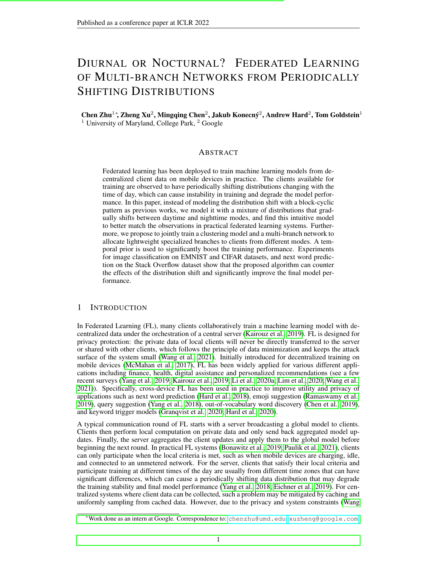more distinctive features for the clusters at no communication overhead. To see this k wisen given, we only need to solve

$$
\tau_{ik}^{t+1} = \text{argmax} P( = k jD_i; \quad ^t; \mathbf{q}(t)) \log P(D_i; = k j ; \mathbf{q}(t)); \tag{8}
$$
\nwhere its optimal mean and variance, and the MLE of the GMM prior for clusters in the image.

$$
\sim_{ik}^{t+1} = \frac{1}{jD_i j} \frac{X}{x_{2D_i}} f(w_i^{t+1}; x); \ [ \sim_{ik}^{t+1} ]^2 = \frac{1}{jD_i j} \frac{X}{x_{D_i}} (f(w_i^{t+1}; x) - \frac{1}{k} \frac{1}{k})^2; \ \sim_{ik}^{t} = \frac{1}{jD_i j} \frac{X}{x_{2D_i}} (x);
$$
\n(9)

Note  $\zeta_{ik}^{t+1}$  and  $\zeta_{ik}^{t+1}$  are identical for different ; see Appendix A.2 for derivations. The clients send the optimal mean and variance to the server. To enforce temporal priors on the server, clients also send the MLE of the prior  $\Phi$ <sub>i</sub> for each clustek, i.e.,  $\sim_{\sf ik}$  , to the server. In this way, the total number of parameters sent to the server can be less than a single GMM model.

M step on server with temporal prior. The temporal prior is enforced via a bottom-up approach: each client sends all possible solutions and MLEs $_{ik}^{t+1}$  ;  $\sim_{ik}^{t+1}$  ;  $\sim_{ik}$  )ji 2 l  $^{0}(t)$ ; k 2 f 1; 2gg to the server; the server then estimates the one-hot postetic  $\vec{P}_i$ ;  $f_i$ ;  $\vec{q}(t)$ ) based on $\vec{r}_{ik}$ . A set  $\vec{r}_1^0(t)$ of bq(t)  $j \cdot \theta(t)$  i +  $\frac{1}{2}$ c clients with highest<sub>"i1</sub> will have P( = 1jD<sub>i</sub>; <sup>t</sup>; q(t)) = 1, while the remaining clients, constituting a sboth  $\ell$ <sup>2</sup>(t), will have P( = 2jD<sub>i</sub>; <sup>t</sup>;  $\varphi(t)$ ) = 1. Then, similar as FedAvg (McMahan et al., 2017), the server updates the GMM parameters for each made weighted average of the optimal GMM parameters of each dilenit $_{k}^{0}(t)$ :

$$
I_{k}^{t+1} = \frac{X}{N_{k}^{t}} \frac{jD_{i,j}}{M_{k}^{t}} \sim_{ik}^{t+1}; \quad I_{k}^{t+1} = \frac{X}{N_{k}^{t}} \frac{jD_{i,j}}{M_{k}^{t}} \left[ \sim_{ik}^{t+1} \right]^{2}; \quad I_{k}^{t+1} = \frac{M_{k}^{t}}{N_{j}} \sim_{j=1}^{t} M_{j}^{t}; \tag{10}
$$

whereM $_{k}^{t} = \frac{P_{i}^{(2)} \binom{R}{k} (t)}{i2l \binom{0}{k} (t)}$  is the total number of  $\frac{1}{12!}\frac{0}{k}(t)$  jD<sub>i</sub> j is the total number of samples from clients assigned to n**kode**ote  $t+1$  is not necessarily an unbiased estimate, but we nd this estimate gives good results in practice. We also use a running average of the GMM pri $\dot{\phi}^{\dagger}$ <sup>1</sup> during training and set it to be a uniform distribution during inference; see Appendix A.4 for details.

## 3.2 LEARNING A CLUSTERING MODEL WITH AGGREGATEDTEMPORAL STATISTICS

FEDTEM collects per-client-<sub>i</sub> to use the temporal prior and update the GMM parameters, which may not satisfy the strong aggregation-only data minimization principle (Bonawitz et al., 2021; Wang et al., 2021). We propose an alternative Federlate Means algorithm augmented by the Temporal prior (EDTKM), where the temporal prior is enforced based on only aggregated results, described in Algorithm 2. **EDTKM** clusters theith client and selects the branches based on the averaged distance of the features to the uster centers,

$$
d_{ik}(w^{t}) = \frac{1}{jD_{i}j} \frac{X}{x^{2D_{i}}} kkf(w^{t}; x) c_{k}k;
$$
 (11)

where the superscript denotes the communication round, and are distance scalar factors to control the "prior" of the clusters and enforce the temporal priors. During training, a dicomputes  $d_{ik}$  on its training set to select the branch with minimal , while at test time, we use a minibatch to estimated<sub>ik</sub> . In the case of two centers, we  $x_1 = 1$  , and learn a scalar<sub>2</sub> > 0 to rescale the distances to theecondclusterc<sub>2</sub>: when  $2 > 1$ , it makes the EDTKM algorithm more likely to assign the client to thest cluster, and vice versa. $_2$  > 1 is updated by a quantile-based (private) estimator inspired by (Andrew et al., 2021).

The clients train the network with their selected branches by Eq. 11 through the objective in Eq. 4. After the local training steps, each client estimates its cluster assignment again with the locally updated parameters<sup>t</sup>, and computes an indicator variablet) = 1[d<sub>i1</sub>(w<sup>t</sup>i) < d<sub>i2</sub>(w<sup>t</sup>i)] for quantile estimation, and the feature mean  $(w_i^t) = \frac{1}{|D_i|}$   $\frac{1}{|X|^2}$   $\frac{1}{|X|^2}$  f  $(w_i^t; X)$  for k-means centers. Then  $(t)$ andf ( $w_i$ ) can be sent to a trusted, secure aggregator to get the ratio of clients assigned to cluster 1,  $\mathsf{q}(\mathsf{t}),$  and the averaged means centers  $\mathsf{t}^{\mathsf{t}+\mathsf{1}}$  ;  $\mathsf{c}_2^{\mathsf{t}+\mathsf{1}}$  as

$$
q(t) = \frac{1}{jl \; ^{\alpha}(t)j} \frac{X}{l \; ^{\alpha}(t)} q(t); \; c_k^{t+1} = \frac{X}{l \; ^{\alpha}(t)} \; \frac{P}{l \; ^{\alpha}(t)} \frac{r_{ik} \; jD_{i}j}{l \; ^{\alpha}(t)} f(\mathbf{w}_i^{t}); \; k = 1 \; \text{or} \; 2; \; (12)
$$

 $1$ The MLE is de ned in Eq. 14.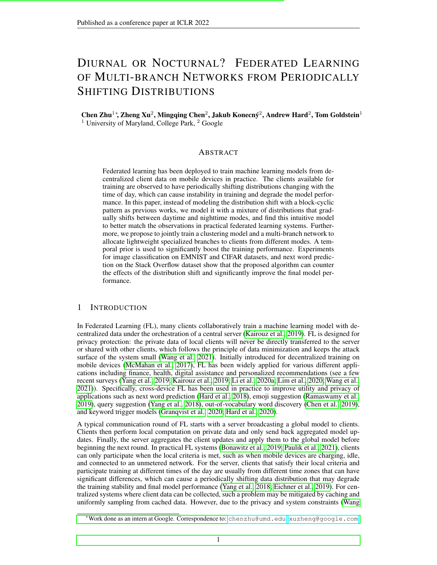where  $r_{i1} = q(t); r_{i2} = 1$  q (t).

The distance factor<sub>2</sub> is updated by tracking the difference between the empirical quantile and the oracle quantile<sub>(t)</sub> estimated by the temporal prior,

$$
t^{t+1} = \exp \t t [q(t) \t q(t)] \t t^{t}. \t (13)
$$

where  $\cdot$  0 is the step size of the geometric update at step all experiments, we use the periodical linear function  $q(t) = q_{-1}(t)$  as the temporal prior.

```
Algorithm 2 FEDTKM: Federatedk-means with Temporal Prior
```
1: Input: A stream of clients (t) from a periodically shifting distribution; Number of communication rounds  $N$ ; Number of rounds per day.

2: Output: Network parameters  $N = (w_1^N, w_1^N, w_2^N)$ , k-means cluster centers and  $c_2^N$  (k = 2), distance scalar $_2^{\mathsf{N}}$  .

3: for  $t = 0$  to  $N = 1$  do

4: A set ofm clientsl  $^{0}$ (t) I (t) participate training;

- 5: Server broadcasts parameters of the network and the k-means parameters<sup>t</sup> ( $c_2$ ,  $t$ ) to I  $^0$ (t);
- 6: for clientsi 2 l  $^{0}$ (t) in parallel do
- 7: Compute average distande (w<sup>t</sup>) =  $\frac{1}{|D_{+}|}$ P  $_{\mathsf{x2D}_{i}}$  k kf  $(\mathsf{w}^{\mathsf{t}}; \mathsf{x})$  c<sub>k</sub> k;
- 8: Choose the branch with minimal distance = arg min  $_k$  d<sub>ik</sub> (w);<br>9: Givenk: run local updates for the network by optimizing Eq.
- 9: Givenk, , run local updates for the network by optimizing Eq. 4 and gatt
- 10: Computed  $(t) = 1[d_{11}(\mathbf{w}_1^t) < d_{12}(\mathbf{w}_1^t)]$  to be aggregated for  $(t)$ ;
- 11: Compute  $(w_i^t) = \frac{1}{|D_i|}$   $\left| \begin{array}{c} x_{2D_i} \\ x_{2D_i} \end{array} \right|$  ( $w_i^t$ ; x) to be aggregated for  $t_1^{t+1}$  or  $c_2^{t+1}$ ;
- 12: Server receives aggregated network landeans parametefs  $f$ ;  $c_1^{t+1}$ ;  $c_2^{t+1}$ ;  $q(t)$ g from the clients;
- 13: Update the distance scalag<sup>+1</sup> with the temporal prion  $(t)$ :  $\frac{t+1}{2}$  = exp <sup>t</sup>  $[q(t) q(t)] \frac{t}{2};$
- 14: Update the t-means centers intered in  $c_2^{t+1}$ ,  $c_2^{t+1}$  using Eq. 12;
- 15: Update network parameterswo<sup>+1</sup> usingw<sup>t</sup> w  $w<sup>t</sup>$  with the prescribed server optimizer.

## 3.3 COMPARISONS ANDDISCUSSIONS

Privacy. In our simulation experiments (Section 4EDFTEM often performs better than EDTKM. However, the server has to observe the GMM parameters for participating client from, which may require new techniques to satisfy the strong data minimization and data anonymization principles (Wang et al., 2021; Bonawitz et al., 2021). On the other hand, FKM only uses aggregated results, which is compatible with the strong data minimization principle, and easier to be further protected by other privacy techniques such as secure aggregation (Bonawitz et al., 2019) and differential privacy (McMahan et al., 2018; Kairouz et al., 2021).

Differences from previous methods.Compared with previous methods that jointly train a clustering model with multiple networks, our method has four key differences that better suits cross-device FL under temporal distribution shift. First, our method introduces the temporal prior to regularize the clustering model, which is missing in previous works. Second, duranch network with shared feature extractor is more communication and data ef cient than usimetworks. Third, our clustering model selects the branches based on the feature, which eliminates the need for labeled data for clients not participate in training. Clustering models of (Ghosh et al., 2020; Marfoq et al., 2021) are based on the loss, which is impractical for clients without labeled data. Fourth, our method does not maintain states on clients. (Marfoq et al., 2021) assumes stateful clients, which is impractical for cross-device setting where each client only participate limited times (Wang et al., 2021). We give more detailed comparison with previous methods in Appendix A.7.

# 4 EXPERIMENTS

Dataset. We consider two image classi cation datasets, EMNIST and CIFAR, and one next word prediction task on Stack Over ow (SO). The split of the day mode  $\phi$  and night model( $_2$ ), and other statistics, are shown in Table 1 in the Appendix. On SO, we use a vocabulary size of 10K and report the test accuracy without special tokens. We truncate each sentence to have no more than 20 tokens. For the distribution shift, we use=  $256$  for the majority of our results, and we compare results under both linear and cosine distribution shifts with  $0:1$ ;  $0:25$ ;  $0:5$ ; 1; 2; 4; 10g.

Architecture of the multi-branch networks. On EMNIST, we train LeNet with 2 Conv layers and 2 FC layers. On CIFAR, we train a ResNet-18 with the Batch Norm replaced by Group Norm (Wu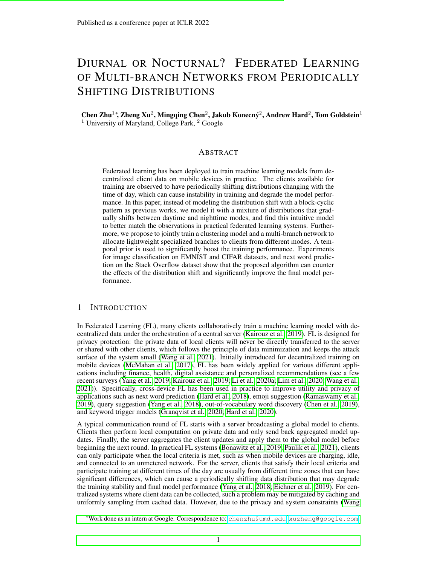Figure 2: Comparing the results of FDTEM and FEDTKM with baseline methods. On EMNIST and CIFAR, FEDTKM can achieve similar performances as FFEM and outperforms most of the other methods. On Stack Over ow, FEDTKM is not as good as FEDTEM, but it still outperforms other methods, and can be even better than the model trained without distribution shift when the training population is less biased (  $\epsilon$  to 1).

& He, 2018) for stability in federated learning. We use the last FC layer of these convolutional networks as the multi-branch part and share all the remaining layers. We use the output from the shared feature extractor for clustering, which are 128 and 512 dimensional for EMNIST and CIFAR respectively. On SO, we train a single-layer LSTM (Hochreiter & Schmidhuber, 1997) with a hidden size of 670 and embedding size of 96. To alleviate the communication overhead and prevent over tting, we de ne the branches to be the last projection layer before the nal prediction layer, which is 15x smaller than the nal prediction layer. The communication overheads of the extra branch are 0.7%, 0.5% and 1.6% respectively for models on EMNIST, CIFAR and SO.

Hyperparameters. We use FedAdam (Reddi et al., 2021) as the optimizer. Table 2 shows the training hyperparameters, with implementation details and practical notes given in Section A.4. For Min Loss, FEDTEM and FEDTKM, we also do a grid search on the label smoothing parameters

and . For each hyperparameter setting, we run 3 experiments with different random seeds and report their mean and standard error.

Ablation study and temporal prior. In Appendix A.5 and Figure 3, we provide ablation studies on the temporal prior to quantify its ef cacy, and see which temporal prior (Linear, Cosine, or Soft) works better in practice. From the results we can see: 1) all three types of priors improve the baseline in most cases; 2) linear prior works better on image datasets, while cosine prior works better on SO; 3) with weaker assumptions, Soft prior is able to t the distribution shift and improves the results. With these observations, for FEDTEM, we choose the linear prior  $\frac{1}{1}$  (t) on EMNIST and CIFAR and the cosine price  $C_{c,1}(t)$  on SO. For EDTKM, we only consider the linear price  $L_1(t)$ .

Baselines. For fair comparisons, unless otherwise stated, we adapt all methods into our settings to maintain two important properties: 1) training the same multi-branch network to keep model capacities the same; 2) labels are not available for test clients. For the baseline without any branch selection technique, we train the same multi-branch network by taking the averaged output from both branches for prediction. Such networks trained under shifting data distribution are denoted as "Vanilla", while those trained without distribution shift are denoted as 'Dist. Shift" (NDS).In Appendix A.8, we also provide results of training single-branch models in these two settings, which obtained almost identical results. The baseline methods are 30\$GD', where similar as Semi-Cyclic SGD (Eichner et al., 2019), we train one model during rst half of each period, and the other model on the other half. During test time, since there is no indicator of which mode the clients come from in practice, we select the models according to the certainty of their predictions, measured by evaluating the KLD between the prediction and a uniform distribution over all labels-sapt K-means, which is an enhanced variant of one-shot K-means (Dennis et al., 2021), collecting the cluster centers on raw data from all participating clients during a whole perid drotinds before training. For both training and test, it selects the branches for each sample according to the nearest cluster center. 3) "Min Loss (IFCA)", where same as IFCA (Ghosh et al., 2020), we choose the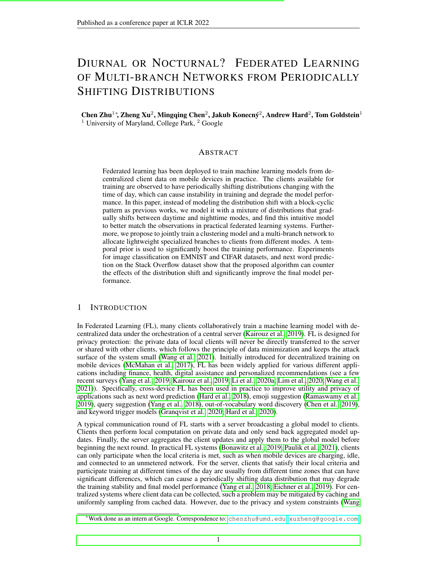branch with minimum loss on the local training set of each client during training, but different from IFCA, we choose branches with highest certainty on the unlabeled test set clients, using the same criterion as 1). We applied the label smoothing regularization (Eq. 4) to IFCA, which improves the results. 4)FedEM (Marfoq et al., 2021), where we use the same algorithm on participating clients during training. FedEM is implemented with privilege to access sample labels for test clients, to enable its EM steps which uses the loss.

Main Results. The results of all methods are shown in Figure 2. By comparing results of Vanilla and NDS, we nd the temporal distribution shift indeed degrades vanilla training, causing the worstcase decrease in accuracy by more than 7%, 20% and 1% respectively on EMNIST, CIFAR and SO. While with FEDTEM and FEDTKM, the accuracy can be even higher than models trained in the NDS setting in most cases, demonstrating the ef cacy of the temporal prior for learning more distinctive feature representations for the daytime and nighttime modes with specialized prediction branches. The improvement on the strong NDS baseline can be as high as 4%, 4% and 0.45% with FEDTEM on the three datasetsEBTEM is not better than NDS whendeviates too much from 1 as the data distribution is extremely skewed in such settings, while our methods are still better than most other methods in most cases. For baseline methods, SCSGD performs surprisingly well on EMNIST whenp is large, but the performance quickly drops on the more complicated CIFAR and SO. T-shot K-means achieves improvements for extremen EMNIST, but it is not signi cantly better than "Vanilla" on CIFAR, due to the dif culty in reliable clustering in more complicated image spaces. We did not implement T-shot K-means for SO due to the dif culty of clustering the raw data of the language task. Min Loss (IFCA) alleviates the drop and sometimes competes with NDS, but cannot achieve improvements over NDS. By contrast, FedEM often achieves inferior results even with the privilege access to the test labels for EM estimation. This is probably due to the staleness of the priors in the challenging periodic distribution shift setting, as we simulate cross-device FL on a large population where clients only participate training for a few rounds on EMNIST and CIFAR, and at most one round on SO.

Effect of label smoothing regularization.Shown in Figure 5. Since EMNIST is relatively easy and the network on it is small, the label smoothing does not show signi cant improvements. However, it is critical to the success on CIFAR and SO. Without the regularization, one branch will not be updated simultaneously with the feature extractor, resulting in instability and low test accuracy.

MLE for Evaluation. For FEDTEM, during evaluation, we nd it bene cial for image classi cation to use the MLE in Eq. 5 on the minibatches (typically of size no larger than 64) to select the best branch, compared with the sample-level inference. We show its bene t in Figure 4 in the appendix. In practice, similar approaches can be realized through caching. We nd Min Loss does not show much difference when a similar approach is applied, where branches are chosen by the averaged certainty on minibatches. The baseline model even gets worse performance with this approach, as shown in Figure 4, indicating our model is much better at distinguishing two modes in expectation. However, this approach does not show improvements for THEM on SO.

Effect of T. As shown in Figure 8, for EDTEM with linear prior on EMNIST, a smaller tends to decrease the performance whedeviates too much from 1. In such scenarios, the distribution changes frequently and abruptly. However, the performance  $\sigma$  FEM is maintained when the distribution changes in a frequent but more balanced way.

# 5 CONCLUSIONS

In this paper, we showed the in uence of a smoothly shifting distribution between daytime and nighttime modes better matches the phenomenon in practical FL systems, and developed algorithms to train multi-branch networks to tackle the distribution shift. Our methods incorporates priors of the temporal distribution shifts to learn a mixture or clustering model to guide the network and select corresponding branches for clients from different modes during both training and inference. The clustering models are de ned in the feature space and does not require labelled data for inference, hence is ready to be deployed on clients without labeled data. The branches are lightweight with little communication overhead, and the model demonstrates signi cant improvements in test accuracy on the benchmark datasets. Our methods also satis es many other real-world constraints like single round communication and stateless clients (Bonawitz et al., 2019; Paulik et al., 2021; Wang et al., 2021), which makes it possible to be deployed in practical FL systems.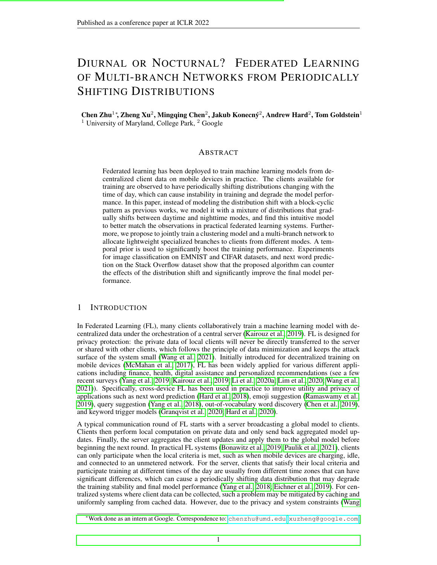# 6 REPRODUCIBILITY STATEMENT

Our code is available on GitHub. For reproducibility, we have reported the mean and standard error for 3 experiments with different random seeds for all settings. The dataset we used for simulations are all available in Tensor ow Federated, and our implementation is largely based on the code from Adaptive Federated Optimization (Reddi et al., 2021 We have listed our hyperparameters in Table 2. We have given the pseudo code in Algorithm 1 and the detailed formulas and derivations of our algorithm in Section 3.1.

# 7 ACKNOWLEDGEMENTS

The authors would like to thank Galen Andrew and Brendan McMahan for helpful discussions. Goldstein was supported by the National Science Foundation #1912866, the DARPA GARD program, and the Sloan Foundation.

# **REFERENCES**

- Maruan Al-Shedivat, Jennifer Gillenwater, Eric Xing, and Afshin Rostamizadeh. Federated learning via posterior averaging: A new perspective and practical algorithmiste mational Conference on Learning Representations (ICLR2021.
- Mathieu Andreux, Jean Ogier du Terrail, Constance Beguier, and Eric W Tramel. Siloed federated learning for multi-centric histopathology datasets. Domain Adaptation and Representation Transfer, and Distributed and Collaborative Learning . 129–139. Springer, 2020.
- Galen Andrew, Om Thakkar, Swaroop Ramaswamy, and Hugh Brendan McMahan. Differentially private learning with adaptive clipping. Inhirty-Fifth Conference on Neural Information Processing System<sup>2021</sup>.
- Manoj Ghuhan Arivazhagan, Vinay Aggarwal, Aaditya Kumar Singh, and Sunav Choudhary. Federated learning with personalization layers. are print arXiv:1912.008182019.
- Kallista Bonawitz, Peter Kairouz, Brendan McMahan, and Daniel Ramage. Federated learning and privacy: Building privacy-preserving systems for machine learning and data science on decentralized data.Queue, 19(5):87–114, 2021.
- Keith Bonawitz, Hubert Eichner, Wolfgang Grieskamp, Dzmitry Huba, Alex Ingerman, Vladimir Ivanov, Chloe Kiddon, Jakub Koney, Stefano Mazzocchi, H Brendan McMahan, et al. Towards federated learning at scale: System desigy sML, 2019.
- Christopher Briggs, Zhong Fan, and Peter Andras. Federated learning with hierarchical clustering of local updates to improve training on non-iid data. 20020 International Joint Conference on Neural Networks (IJCNN)pp. 1–9. IEEE, 2020.

Rich Caruana. Multitask learning Machine learning 28(1): 41–75, 1997.

- Mingqing Chen, Rajiv Mathews, Tom Ouyang, and Françoise Beaufays. Federated learning of outof-vocabulary wordsarXiv preprint arXiv:1903.106352019.
- Arthur P Dempster, Nan M Laird, and Donald B Rubin. Maximum likelihood from incomplete data via the em algorithm.Journal of the Royal Statistical Society: Series B (Methodologi& 30): 1–22, 1977.
- Don Kurian Dennis, Tian Li, and Virginia Smith. Heterogeneity for the win: One-shot federated clustering.ICML, 2021.

7525c36324cb022bc05c3fce88ef01147cae9740/periodic\_distribution\_shift <sup>3</sup>https://github.com/google-research/federated/tree/

<sup>&</sup>lt;sup>2</sup>https://github.com/google-research/federated/tree/

<sup>780767</sup>fdf68f2f11814d41bbbfe708274eb6d8b3/optimization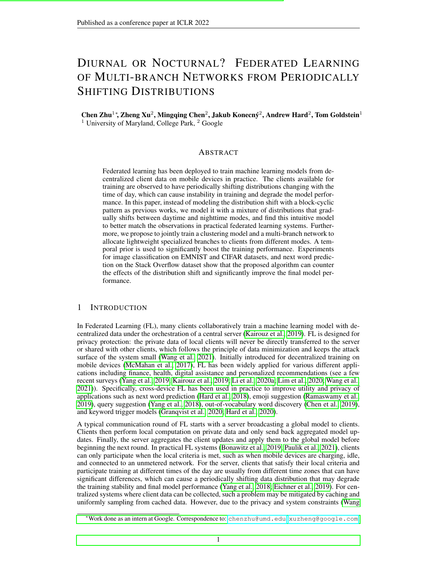- Yucheng Ding, Chaoyue Niu, Yikai Yan, Zhenzhe Zheng, Fan Wu, Guihai Chen, Shaojie Tang, and Rongfei Jia. Distributed optimization over block-cyclic dataXiv:2002.074542020.
- Moming Duan, Duo Liu, Xinyuan Ji, Yu Wu, Liang Liang, Xianzhang Chen, and Yujuan Tan. Flexible clustered federated learning for client-level data distribution shat Xiv preprint arXiv:2108.097492021.
- Hubert Eichner, Tomer Koren, Brendan McMahan, Nathan Srebro, and Kunal Talwar. Semi-cyclic stochastic gradient descent. ICML, 2019.
- Yanan Fu, Xuefeng Liu, Shaojie Tang, Jianwei Niu, and Zhangmin Huang. Cic-: Enabling class imbalance-aware clustered federated learning over shifted distributions termational Conference on Database Systems for Advanced Applications 37–52. Springer, 2021.
- Avishek Ghosh, Jichan Chung, Dong Yin, and Kannan Ramchandran. An ef cient framework for clustered federated learningeurIPS 33, 2020.
- Filip Grangvist, Matt Seigel, Rogier van Dalenine Cahill, Stephen Shum, and Matthias Paulik. Improving on-device speaker veri cation using federated learning with privacxiv preprint arXiv:2008.026512020.
- Andrew Hard, Kanishka Rao, Rajiv Mathews, Swaroop Ramaswamy, Françoise Beaufays, Sean Augenstein, Hubert Eichner, ClécKiddon, and Daniel Ramage. Federated learning for mobile keyboard predictionarXiv preprint arXiv:1811.0360, 42018.
- Andrew Hard, Kurt Partridge, Cameron Nguyen, Niranjan Subrahmanya, Aishanee Shah, Pai Zhu, Ignacio Lopez Moreno, and Rajiv Mathews. Training keyword spotting models on non-iid data with federated learningarXiv preprint arXiv:2005.1040, 62020.
- Sepp Hochreiter and Judgen Schmidhuber. Long short-term memolyeural computation 9(8): 1735–1780, 1997.
- Kevin Hsieh, Amar Phanishayee, Onur Mutlu, and Phillip Gibbons. The non-iid data quagmire of decentralized machine learning. International Conference on Machine Learning p. 4387– 4398. PMLR, 2020.
- Tzu-Ming Harry Hsu, Hang Qi, and Matthew Brown. Federated visual classi-cation with real-world data distribution. InECCV, pp. 76–92. Springer, 2020.
- Peter Kairouz, H Brendan McMahan, Brendan Avent, Auen Bellet, Mehdi Bennis, Arjun Nitin Bhagoji, Kallista Bonawitz, Zachary Charles, Graham Cormode, Rachel Cummings, et al. Advances and open problems in federated learning iv preprint arXiv:1912.0497,72019.
- Peter Kairouz, Brendan McMahan, Shuang Song, Om Thakkar, Abhradeep Thakurta, and Zheng Xu. Practical and private (deep) learning without sampling or shuf **international Conference** on Machine Learning (ICML) 2021.
- Sai Praneeth Karimireddy, Satyen Kale, Mehryar Mohri, Sashank J Reddi, Sebastian U Stich, and Ananda Theertha Suresh. SCAFFOLD: Stochastic controlled averaging for on-device federated learning.International Conference on Machine Learning (ICMPD20.
- Mikhail Khodak, Maria-Florina F Balcan, and Ameet S Talwalkar. Adaptive gradient-based metalearning methods. IA dvances in Neural Information Processing System 1998.
- Tian Li, Anit Kumar Sahu, Ameet Talwalkar, and Virginia Smith. Federated learning: Challenges, methods, and future direction EEE Signal Processing Magazin 27(3):50–60, 2020a.
- Tian Li, Anit Kumar Sahu, Manzil Zaheer, Maziar Sanjabi, Ameet Talwalkar, and Virginia Smith. Federated optimization in heterogeneous networks. Coedings of Machine Learning and Systems 2020b.
- Paul Pu Liang, Terrance Liu, Liu Ziyin, Nicholas B. Allen, Randy P. Auerbach, David Brent, Ruslan Salakhutdinov, and Louis-Philippe Morency. Think locally, act globally: Federated learning with local and global representations. Xiv preprint arXiv:2001.0152, 32020.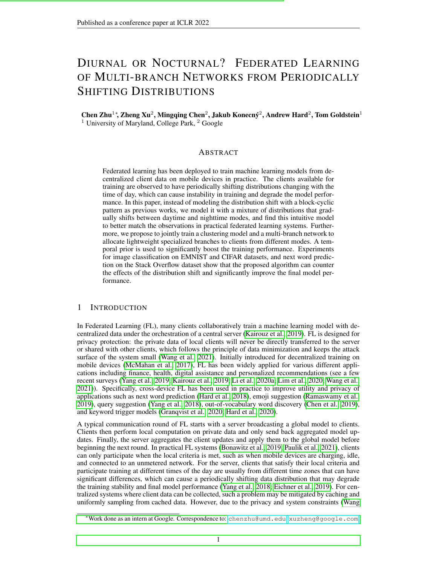- Wei Yang Bryan Lim, Nguyen Cong Luong, Dinh Thai Hoang, Yutao Jiao, Ying-Chang Liang, Qiang Yang, Dusit Niyato, and Chunyan Miao. Federated learning in mobile edge networks: A comprehensive surveyEEE Communications Surveys & Tutorial 8020.
- Yishay Mansour, Mehryar Mohri, Jae Ro, and Ananda Theertha Suresh. Three approaches for personalization with applications to federated learning. arxiv: 2002.106192020.
- Othmane Marfoq, Giovanni Neglia, Autren Bellet, Laetitia Kameni, and Richard Vidal. Federated multi-task learning under a mixture of distribution  $x$ Xiv:2108.102522021.
- Brendan McMahan, Eider Moore, Daniel Ramage, Seth Hampson, and Blaise Aguera y Arcas. Communication-ef cient learning of deep networks from decentralized dataAISTATSpp. 1273–1282. PMLR, 2017.
- Brendan McMahan, Daniel Ramage, Kunal Talwar, and Li Zhang. Learning differentially private recurrent language models. **International Conference on Learning Representations (ICLR)** 2018. URLhttps://openreview.net/pdf?id=BJ0hF1Z0b .
- Matthias Paulik, Matt Seigel, Henry Mason, Dominic Telaar, Joris Kluivers, Rogier van Dalen, Chi Wai Lau, Luke Carlson, Filip Granqvist, Chris Vandevelde, et al. Federated evaluation and tuning for on-device personalization: System design & applicatianxiv preprint arXiv:2102.085032021.
- Swaroop Ramaswamy, Rajiv Mathews, Kanishka Rao, and Françoise Beaufays. Federated learning for emoji prediction in a mobile keyboardrXiv preprint arXiv:1906.0432,92019.
- Sashank Reddi, Zachary Charles, Manzil Zaheer, Zachary Garrett, Keith Rush, Jakudow, Kone Sanjiv Kumar, and H Brendan McMahan. Adaptive federated optimizatChR, 2021.
- Amirhossein Reisizadeh, Farzan Farnia, Ramtin Pedarsani, and Ali Jadbabaie. Robust federated learning: The case of af ne distribution shifts. NeurIPS 2020.
- Felix Sattler, Klaus-Robert Miller, and Wojciech Samek. Clustered federated learning: Modelagnostic distributed multitask optimization under privacy constraints. It ansactions on neural networks and learning system 8020.
- Karan Singhal, Hakim Sidahmed, Zachary Garrett, Shanshan Wu, Keith Rush, and Sushant Prakash. Federated reconstruction: Partially local federated learnarckiv preprint arXiv:2102.03448 2021.
- Virginia Smith, Chao-Kai Chiang, Maziar Sanjabi, and Ameet S Talwalkar. Federated multi-task learning. InAdvances in Neural Information Processing System 37.
- Jianyu Wang, Zachary Charles, Zheng Xu, Gauri Joshi, H Brendan McMahan, Blaise Aguera y Arcas, Maruan Al-Shedivat, Galen Andrew, Salman Avestimehr, Katharine Daly, et al. A eld guide to federated optimizationarXiv:2107.069172021.
- Yuxin Wu and Kaiming He. Group normalization. Proceedings of the European conference on computer vision (ECCV) pp.  $3-19$ , 2018.
- Ming Xie, Guodong Long, Tao Shen, Tianyi Zhou, Xianzhi Wang, Jing Jiang, and Chengqi Zhang. Multi-center federated learningarXiv preprint arXiv:2108.0864, 72021.
- Qiang Yang, Yang Liu, Tianjian Chen, and Yongxin Tong. Federated machine learning: Concept and applications ACM Transactions on Intelligent Systems and Technology ( $\text{TRST2}$ ):1–19, 2019.
- Timothy Yang, Galen Andrew, Hubert Eichner, Haicheng Sun, Wei Li, Nicholas Kong, Daniel Ramage, and Françoise Beaufays. Applied federated learning: Improving google keyboard query suggestionsarXiv preprint arXiv:1812.0290,32018.
- Jaehong Yoon, Wonyong Jeong, Giwoong Lee, Eunho Yang, and Sung Ju Hwang. Federated continual learning with weighted inter-client transfer. International Conference on Machine Learning, pp. 12073–12086. PMLR, 2021.
- Zhuangdi Zhu, Junyuan Hong, and Jiayu Zhou. Data-free knowledge distillation for heterogeneous federated learning.CML, 2021.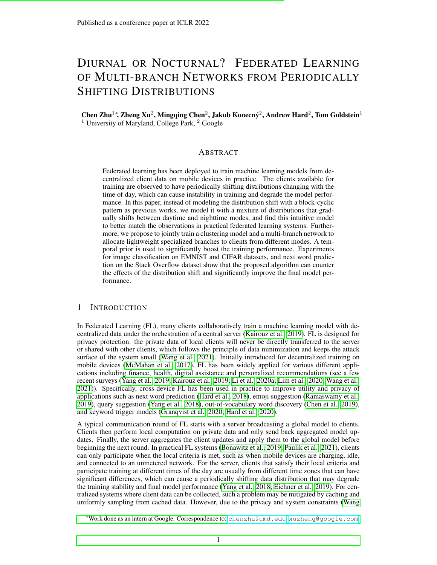# A APPENDIX

# A.1 FURTHER DISCUSSIONS OF BRANCH SELECTION WITIGMM

Derivation of the MLE. Recall is the parameters of the GMM model. We consider maximizing the expectation of the complete-data log likelihdog $\mathsf{P}(\mathsf{D}_\mathsf{i};\mathsf{Z} \mathsf{j}^-$  ) under the posterior distribution  $P(Z|D_i; )$ , whereZ is the collection of latent variables associated with each of the sam $p|D_i$ . Formally, it is solving the following constrained optimization problem

maximize<sub>Z</sub> 
$$
P(Z|D_i; )
$$
 [logP(D<sub>i</sub>; Zj )];  
\n  
\nsubject to  $Y_{j} = 1$ ;  $j = 0$ ; for all 1  $j = K$ :  
\n $j = 1$  (14)

We introduce an indicator function<sub> $z=k$ ]</sub> which is 1 if  $z = k$  or 0 otherwise. In this way, the log likelihood can be represented as

$$
\log P(D_i; Zj) = \log \frac{iP_i i \cdot P}{n=1 \cdot k=1} \left[ P(x_n; z_n j) \right]^{1_{[z=k]}} \\
= \frac{iP_i i \cdot P}{1_{[z_n=k]}\left[ \log \frac{1}{k} + \log P(x_n | z_n; \cdot) \right]}.
$$
\n(15)

Meanwhile,

$$
E_{Z \ P(Z|D_{i};\ )} 1_{[z_{n}=k]} = P(z_{n}=kjx_{n};\ ) = P\frac{{}_{k}P(x_{n}jz_{n}=k;\ )}{{}_{j=1}^{k}P(x_{n}jz_{n}=j;\ )}.
$$
 (16)

Plug Eq. 15 and Eq. 16 back into Eq. 14, and ignore terms that do not depend wann d we are solving the following problem for

maximize  
\n
$$
\begin{array}{ccc}\n & \text{if } & \text{if } & \text{if } \\
 & \text{if } & \text{if } & \text{if } \\
 & & \text{if } & \text{if } \\
 & & \text{if } & \text{if } \\
 & & \text{if } & \text{if } \\
 & & \text{if } & \text{if } \\
 & & \text{if } & \text{if } \\
 & & & \text{if } & \text{if } \\
 & & & \text{if } & \text{if } \\
 & & & \text{if } & \text{if } \\
 & & & & \text{if } & \text{if } \\
 & & & & \text{if } & \text{if } \\
 & & & & \text{if } & \text{if } \\
 & & & & \text{if } & \text{if } \\
 & & & & \text{if } & \text{if } & \text{if } \\
 & & & & & \text{if } & \text{if } \\
 & & & & & \text{if } & \text{if } & \text{if } \\
 & & & & & \text{if } & \text{if } & \text{if } & \text{if } \\
 & & & & & & \text{if } & \text{if } & \text{if } & \text{if } \\
 & & & & & & \text{if } & \text{if } & \text{if } & \text{if } & \text{if } \\
 & & & & & & \text{if } & \text{if } & \text{if } & \text{if } & \text{if } & \text{if } & \text{if } & \text{if } \\
\end{array}
$$
\n(17)

The Lagrangian multiplier of this problem is

h( ; ) = 
$$
\frac{iR}{n} \mathbb{R}^{i,j} \times R
$$
 P(z<sub>n</sub> = kjx<sub>n</sub>; )log<sub>k</sub> + (1  $\frac{X}{i}$ ) : (18)

Let the derivative w.r.t.  $_k$  be 0,

$$
\frac{\textcircled{a}h}{\textcircled{b}_k} = \frac{iR^{i}}{n=1} P(z_n = kjx_n; )\frac{1}{k} = 0: \qquad (19)
$$

Multiply both sides of Eq. 19 with  $_k$ , sum over1 k K, and apply the constraint that  $k=1$ , we have

$$
\frac{iR}{N} \mathbf{X} = \n\begin{cases}\nP(z_n = k \mathbf{i} x_n; ) = jD_i \mathbf{i} \\
1 \mathbf{i} \cdot \mathbf{j} \\
1 \mathbf{j} \cdot \mathbf{k}\n\end{cases} (20)
$$

Plug this back into Eq. 19, we get the equation as desired.

$$
k = \frac{1}{jD_{i}j} \frac{iR_{i}j}{n=1} P(z_{n} = kjx_{n}; )
$$
 (21)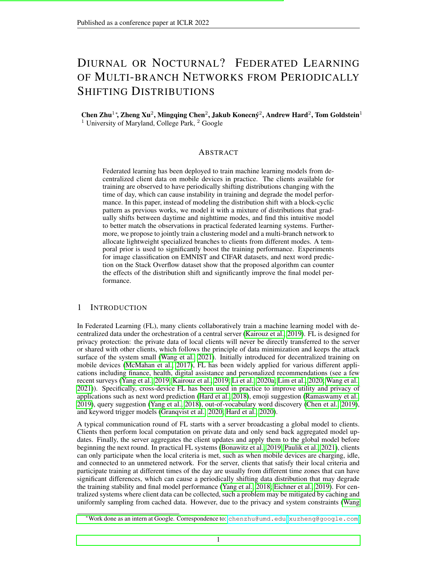An alternative for branch selection. Instead of computing the MLE, with the assumption that samples in D<sub>i</sub> are IID, we can comput $P(|i|D_i) = P(z|D_i)$  using Bayes' theorem and u $P(i|D_i)$ for branch selection. Speci cally,

$$
P(j = kjDi) = P(z = kjDi) = P\frac{Q}{K} \frac{Q_{x2D_i}P(x)z = k)}{y_{j=1} - j}.
$$
 (22)

As shown in Figure 6, we nd MLE achieves better empirical results than this alternative.

#### A.2 DERIVATION OF THE LOCALLY OPTIMAL GMMS

We give the derivation of the optimal mean and variance of the GMM on each client, under the one-hot assumption th**at**( = kjD<sub>i</sub>; <sup>t</sup>; $q(t)$ ) = 1 if k = k , andP( = kjD<sub>i</sub>; <sup>t</sup>; $q(t)$ ) = 0 if k  $6 k$ , for some givenk. Under this assumption, we need to solve

$$
\frac{d}{dk} + 1 = \text{argmax} \log P(D_i; = k j ; q(t))
$$
\n
$$
= \text{argmax} \log P(-k j ; q(t)) + \log P(x j = k ; q(t))
$$
\n
$$
= \text{argmax} \log \frac{1}{k} + \frac{1}{k} \frac{1}{k} \frac{1}{k} \frac{1}{k} \frac{1}{k} \frac{1}{k} \frac{1}{k} \frac{1}{k} \frac{1}{k} \frac{1}{k} \frac{1}{k} \frac{1}{k} \frac{1}{k} \frac{1}{k} \frac{1}{k} \frac{1}{k} \frac{1}{k} \frac{1}{k} \frac{1}{k} \frac{1}{k} \frac{1}{k} \frac{1}{k} \frac{1}{k} \frac{1}{k} \frac{1}{k} \frac{1}{k} \frac{1}{k} \frac{1}{k} \frac{1}{k} \frac{1}{k} \frac{1}{k} \frac{1}{k} \frac{1}{k} \frac{1}{k} \frac{1}{k} \frac{1}{k} \frac{1}{k} \frac{1}{k} \frac{1}{k} \frac{1}{k} \frac{1}{k} \frac{1}{k} \frac{1}{k} \frac{1}{k} \frac{1}{k} \frac{1}{k} \frac{1}{k} \frac{1}{k} \frac{1}{k} \frac{1}{k} \frac{1}{k} \frac{1}{k} \frac{1}{k} \frac{1}{k} \frac{1}{k} \frac{1}{k} \frac{1}{k} \frac{1}{k} \frac{1}{k} \frac{1}{k} \frac{1}{k} \frac{1}{k} \frac{1}{k} \frac{1}{k} \frac{1}{k} \frac{1}{k} \frac{1}{k} \frac{1}{k} \frac{1}{k} \frac{1}{k} \frac{1}{k} \frac{1}{k} \frac{1}{k} \frac{1}{k} \frac{1}{k} \frac{1}{k} \frac{1}{k} \frac{1}{k} \frac{1}{k} \frac{1}{k} \frac{1}{k} \frac{1}{k} \frac{1}{k} \frac{1}{k} \frac{1}{k} \frac{1}{k} \frac{1}{k} \frac{1}{k} \frac{1}{k} \frac{1}{k} \frac{1}{k} \frac{1}{k} \frac{1}{k} \frac{1}{k} \frac{1}{k
$$

whered is the dimension of the featur $\mathfrak{g}_{\ast}|_{j}$  ; [  $_{\kappa}|_{j}$  and[f  $(\mathsf{w}_{\mathsf{i}}^{\mathsf{t}+1}$  ; x )] $_{\mathsf{j}}$  denote th $\mathfrak{\phi}$  -th dimension of  $\kappa$ ;  $\kappa$ ; f (w<sub>i</sub><sup>t+1</sup>;x), respectively. From Eq. 23, we can see the optimal solution for dliento set the mean and variance for the th mode as

$$
r_{ik}^{t+1} = \frac{1}{jD_i} \sum_{x \ge D_i}^{X} f(w_i^{t+1}; x); \ [r_{ik}^{t+1}]^2 = \frac{1}{jD_i} \sum_{x \ge D_i}^{X} (f(w_i^{t+1}; x) - r_{ik}^{t+1})^2; \qquad (24)
$$

## A.3 THE SOFT PRIOR

The soft priore<sub>s</sub>(t) gives strong signals only at time steps where we belige the or q(t) = 1. In between, it only requires the ratio to be non-increasing or non-decreasing, where the ratio is estimated using the posterior from Eq. 6 as

$$
e_{S}^{0}(t) = \frac{jf \times j \times 2 D_{i}; i_{1}(x) > i_{2}(x)gj}{jD_{i}j};
$$
\n(25)

i.e., the ratio of samples whose posterior has higher probability on mode 1. In this way, the model can still learn to distinguish the modes but we do not enforce a strong prior at every time step. Speci cally, it is de ned as

$$
\begin{array}{lll}\n & 8 & 1; & \text{if } t \text{ mod } T = 1 \\
 & \geq 0; & \text{if } t \text{ mod } T = \frac{T}{2} \\
 & \geq \min(\mathfrak{q}_{S}(t-1); \mathfrak{q}_{S}^{0}(t)); & \text{if } 1 < t \text{ mod } T < \frac{T}{2} \\
 & \max(\mathfrak{q}_{S}(t-1); \mathfrak{q}_{S}^{0}(t)): & \text{if } t \text{ mod } T > \frac{T}{2}\n\end{array}
$$
\n(26)

## A.4 IMPLEMENTATION DETAILS AND PRACTICAL NOTES

Setting the GMM prior. During test, to compare the model performance with established baselines and ensure fairness, we consider a static test set where the number of clients and samples from both modes are roughly the same. Therefore, we use a uniform distribution for the priors on the test set. This does not make the GMM worse if it estima  $\Re(x)$  accurately on the test set. During training, we estimate the prior<sup>t</sup> in every step to match the shifting distribution. However, we we estimate the prior in every step to match the shifting distinguion. However,<br>nd it bene cial to use a running average of  $k+1 = k + (1)$   $k M_k^{\dagger} = {K + (1) \choose k-1} d_k^{\dagger}$ training, which achieves better results than setting 0 or using uniform prior in our preliminary experiments. We use = 0:99for the moving average in all experiments.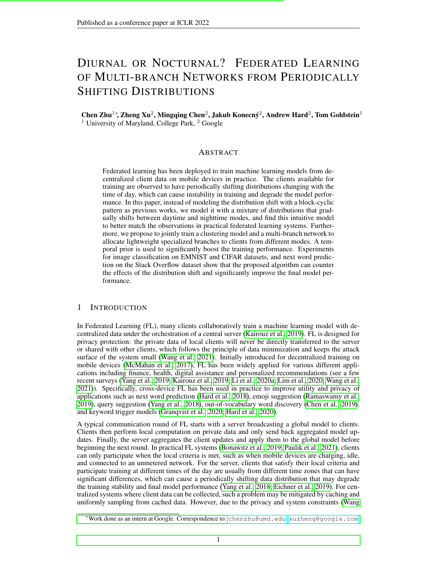Figure 3: The effect of the temporal prior. Note we always use the same periodical linear or cosine priors,  $q_{L, 1}(t)$  or  $q_{C, 1}(t)$ , under all types and s for the distribution shift.

Setting  $_t$  for FEDTKM. Although we can identify the modes through the local minima and maxima of the training curve, the distribution shift can happen in arbitrary ways in between. As a result, the certainty of the temporal prior should also be lower in between the modes. To incorporate this heuristic, instead of using a constant we let

$$
t = 2j0:5 \quad q(t)j_{max}; \text{ where }_{max} > 0 \text{ is a constant} \tag{27}
$$

We nd this to give better results whene 1, i.e., when the underlying distribution shift is biased and different from the linear temporal prior.

### A.5 ABLATION STUDIES: THE EFFECT OF TEMPORAL PRIOR

To quantify the effect of temporal prior on training, we compare four versions  $E\text{mTEM}: 1)$ EM Only : only apply the EM part of our algorithm without the temporal priors, where the only difference from **EDTEM** is that the server, in the M step, greedily uses clicatupdate parameters of modek<sub>i</sub> = arg max<sub>k</sub>  $\sim_{ik}$  (see Eq. 9 and Eq. 10);  $\mathbf{F}$  ped TEM (linear): our algorithm where the temporal prior is the periodic linear function(i 2 l <sub>1</sub>(t)) =  $q_{\perp 1}(t)$ ; 3) FedTEM (cosine): our algorithm where the temporal prior is the cosine funct  $\mathbf{E}(\mathbf{h})$  2 I <sub>1</sub>(t)) =  $q_{\mathrm{C}; 1}(\mathbf{t})$ ; 4) FedTEM (soft): our algorithm with the soft temporal prior introduced in Section A.3. The results are shown in Figure 3. We nd all three priors improves the "EM Only" baseline in most cases. "FedTEM (linear)" is better on image datasets, while "FedTEM (cosine)" is better on the language dataset. The soft prior has very weak assumptions about the prior, only requiring the estimated ratios to be non-increasing or non-decreasing within certain intervals, but still improves the results.

| Table 1: Stats of the datasets. We judge to denote number of samples in each subset. On SO, # |  |  |
|-----------------------------------------------------------------------------------------------|--|--|
| Classes is the vocabulary size.                                                               |  |  |

| Dataset                                 | # Classes $I_1$    |  | il-i iDr.i | $\frac{1}{2}$                       | $ I_2 $ $ D_{12} $ $ D_{test} $ |                                                                                                            |
|-----------------------------------------|--------------------|--|------------|-------------------------------------|---------------------------------|------------------------------------------------------------------------------------------------------------|
| <b>EMNIST</b><br>CIFAR<br>Stack Over ow | 62<br>110<br>10K l |  |            | Questions 171K 67M Answers 171K 67M |                                 | Digits 3383 341,873 Characters 3400 329,712 77,483<br>CIFAR10 500 50.000 CIFAR100 500 50.000 20.000<br>16M |

### A.6 VERIFYING THE EFFECT OFMLE FOR EVALUATION

To quantize the effect the batch-level MLE, we compare the results of our method with or without MLE on EMNIST and CIFAR. As shown in Figure 6, this only decreases the accuracy of the baseline model, indicating our model is much better at distinguishing the two modes in expectation.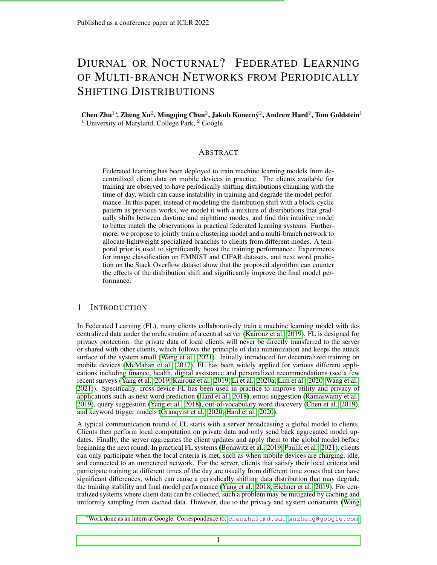Figure 4:Comparing the effect of MLE on EMNIST and CIFAR.

Figure 5: Compare the effect of the label smoothing regularization  $6DTEM$  under linear and cosine distribution shifts. We use the linear prior in all cases.

Figure 6: Comparing the Bayesian and MLE based branch selection on EMNIST and CIFAR under linear distribution shifts. We also compare the greedy branch selection vs. sampling based branch selection on EMNIST.

Table 2: Training hyperparameters on the datasets. The network parameters are trained for one epoch on each client. In addition, on Stack Over ow, we also limit each client to use no more than 512 samples during training.

| Dataset       | Server Opt Server LR |             |                 |     |          |    |     | Client Opt Client LR iMt) Batch Size Total Rounds |
|---------------|----------------------|-------------|-----------------|-----|----------|----|-----|---------------------------------------------------|
| <b>EMNIST</b> | Adam                 | 10 $2:5$    | 10 $4$          | SGD | 10 $1:5$ |    | 20. | 2049                                              |
| <b>CIFAR</b>  | Adam                 |             | 10 <sup>1</sup> | SGD | 10 $1:5$ |    | 20  | 8196                                              |
| Stack Over ow | Adam                 | <u>በ በ1</u> | 10 $^5$         | SGD | 10 $0.5$ | 50 | 16  | 2048                                              |

Figure 7: Probability of sampling of clients frorh<sub>1</sub>(t) in each round, with  $= 256$ , under the linear and cosine transit functions and different values of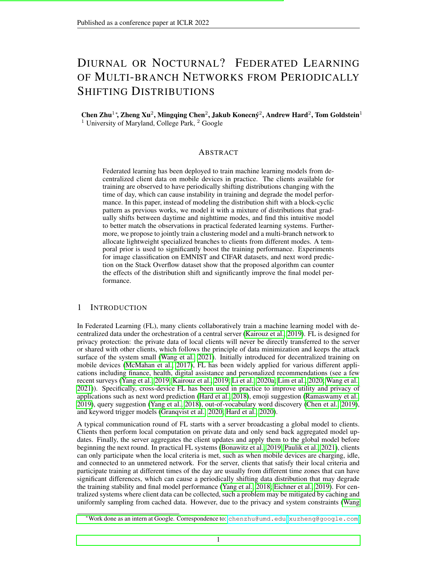Figure 8: Evaluating the effect of the underlying on FEDTEM with linear prior.

# A.7 ADDITIONAL RELATED WORKS

As mentioned above, Semi-cyclic SGD (Eichner et al., 2019) and (Ding et al., 2020) are the only previous works we are aware of that explicitly consider periodical distribution shift in FL. We now review other related works that either consider other types of distribution shift, or have (weak) similarity as the proposed FDTEM method.

Heterogeneity and client distribution shift. Client heterogeneity is an active topic in FL, and various methods have been proposed to address the distribution difference among clients. Notably, FedProx (Li et al., 2020b) applies proximal regularizer when perform client updates; SCAF-FOLD (Karimireddy et al., 2020) uses control variates as local states on clients for variance reduction; FedPA (Al-Shedivat et al., 2021) provides a Bayesian view and adopts posterior sampling; FedGen (Zhu et al., 2021) learns a generator that can be shared among clients; FedRobust (Reisizadeh et al., 2020) applies gradient descent ascent to tackle distribution shifts in the form of af ne transforms in the image domain. Transfer learning, multi-task learning, and meta learning are introduced into FL to explicitly handle distribution shifts among clients assuming heterogeneous clients are from different domains or tasks (Smith et al., 2017; Khodak et al., 2019). Continual learning is introduced to handle distribution shift due to streaming tasks on each client (Yoon et al., 2021). More recently, distribution shift in clusters of clients instead of each individual client are studied in Mansour et al. (2020); Ghosh et al. (2020), while still assuming the clients can be uniformly accessed during the training process. We kindly ask interested readers to nd more papers on heterogeneity in a few recent surveys (Kairouz et al., 2019; Li et al., 2020a; Wang et al., 2021). All these methods consider the distributions shift among different clients, while the propase EM considers periodic distribution shift of client population.

Clustering and mixture models. We do not assume strong control over the clients and the available client population is always changing due to the periodical distribution shift. We also do not require stateful clients, since our prior is applied globally to all clients. Our mixture model is based on the feature space, therefore we do not require labeled data for unseen clients to infer its mode. To our knowledge, existing works in clustered FL, including those on personalization, mostly fail to satisfy at least one of the three properties and therefore not applicable in our setting. Dennis et al. (2021) propose a one-shot clustering approach based on the raw client data before training, which implicitly assumes all representative clients are available simultaneously. Clustering on raw data can also be unreliable when the data demonstrates complicated distributions in the input space. Clustered Federated Learning (Sattler et al., 2020) applies an one-shot clustering based on a trained global model, and then train a personalized model for each cluster. To achieve this, it implicitly assumes strong control over population and clients sampling. Ghosh et al. (2020) and Mansour et al. (2020) propose a similar algorithm that alternatively perform clustering and updating the personalized models for corresponding clusters. Both of them require labled data for the clients to compute the loss for model selection. During the preparation of this draft, we notice a concurrent work, FedEM (Marfoq et al., 2021), which proposes a Federated EM algorithm to learn a mixture model for each client and weigh the predictions from multiple models. The modi ed EM algorithm requires computing the loss and therefore labeled data for every client. It maintains a different prior distribution for every client, which requires stateful clients and strong control over client sampling. The hierarchical or bi-partitioning clustering process of (Briggs et al., 2020; Fu et al., 2021) requires all